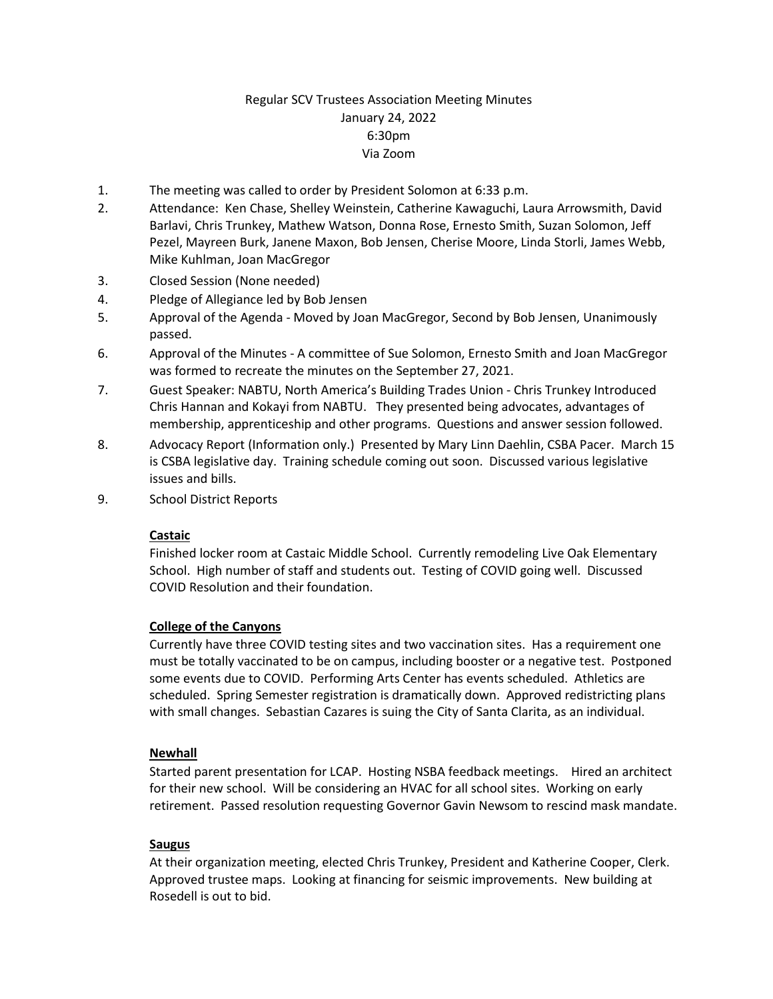# Regular SCV Trustees Association Meeting Minutes January 24, 2022 6:30pm Via Zoom

- 1. The meeting was called to order by President Solomon at 6:33 p.m.
- 2. Attendance: Ken Chase, Shelley Weinstein, Catherine Kawaguchi, Laura Arrowsmith, David Barlavi, Chris Trunkey, Mathew Watson, Donna Rose, Ernesto Smith, Suzan Solomon, Jeff Pezel, Mayreen Burk, Janene Maxon, Bob Jensen, Cherise Moore, Linda Storli, James Webb, Mike Kuhlman, Joan MacGregor
- 3. Closed Session (None needed)
- 4. Pledge of Allegiance led by Bob Jensen
- 5. Approval of the Agenda Moved by Joan MacGregor, Second by Bob Jensen, Unanimously passed.
- 6. Approval of the Minutes A committee of Sue Solomon, Ernesto Smith and Joan MacGregor was formed to recreate the minutes on the September 27, 2021.
- 7. Guest Speaker: NABTU, North America's Building Trades Union Chris Trunkey Introduced Chris Hannan and Kokayi from NABTU. They presented being advocates, advantages of membership, apprenticeship and other programs. Questions and answer session followed.
- 8. Advocacy Report (Information only.) Presented by Mary Linn Daehlin, CSBA Pacer. March 15 is CSBA legislative day. Training schedule coming out soon. Discussed various legislative issues and bills.
- 9. School District Reports

#### **Castaic**

Finished locker room at Castaic Middle School. Currently remodeling Live Oak Elementary School. High number of staff and students out. Testing of COVID going well. Discussed COVID Resolution and their foundation.

#### **College of the Canyons**

Currently have three COVID testing sites and two vaccination sites. Has a requirement one must be totally vaccinated to be on campus, including booster or a negative test. Postponed some events due to COVID. Performing Arts Center has events scheduled. Athletics are scheduled. Spring Semester registration is dramatically down. Approved redistricting plans with small changes. Sebastian Cazares is suing the City of Santa Clarita, as an individual.

#### **Newhall**

Started parent presentation for LCAP. Hosting NSBA feedback meetings. Hired an architect for their new school. Will be considering an HVAC for all school sites. Working on early retirement. Passed resolution requesting Governor Gavin Newsom to rescind mask mandate.

#### **Saugus**

At their organization meeting, elected Chris Trunkey, President and Katherine Cooper, Clerk. Approved trustee maps. Looking at financing for seismic improvements. New building at Rosedell is out to bid.